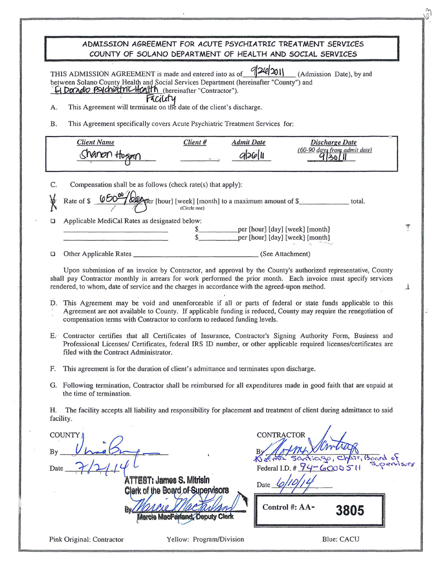| ADMISSION AGREEMENT FOR ACUTE PSYCHIATRIC TREATMENT SERVICES<br>COUNTY OF SOLANO DEPARTMENT OF HEALTH AND SOCIAL SERVICES                                                                                                                                                                                                                                                                                                                                                                                                                                                   |
|-----------------------------------------------------------------------------------------------------------------------------------------------------------------------------------------------------------------------------------------------------------------------------------------------------------------------------------------------------------------------------------------------------------------------------------------------------------------------------------------------------------------------------------------------------------------------------|
| THIS ADMISSION AGREEMENT is made and entered into as of 926/2011<br>(Admission Date), by and<br>between Solano County Health and Social Services Department (hereinafter "County") and<br>G Dando Psychiatric Hcalth (hereinafter "Contractor").<br>Facility<br>This Agreement will terminate on the date of the client's discharge.<br>А.<br>This Agreement specifically covers Acute Psychiatric Treatment Services for:<br>Β.                                                                                                                                            |
| <b>Client Name</b><br>Client#<br><b>Admit Date</b><br>Discharge Date<br>$(60-90$ days from admit date)<br>930<br>$q$ 26 $ l $<br>Shanon thosen                                                                                                                                                                                                                                                                                                                                                                                                                              |
| Compensation shall be as follows (check rate(s) that apply):<br>C.<br>Rate of \$ 65000 (every [hour] [week] [month] to a maximum amount of \$<br>℟<br>total.<br>Applicable MediCal Rates as designated below:<br>ο                                                                                                                                                                                                                                                                                                                                                          |
| \$__________________per [hour] [day] [week] [month]<br>\$________________per [hour] [day] [week] [month]                                                                                                                                                                                                                                                                                                                                                                                                                                                                    |
| o                                                                                                                                                                                                                                                                                                                                                                                                                                                                                                                                                                           |
| Upon submission of an invoice by Contractor, and approval by the County's authorized representative, County<br>shall pay Contractor monthly in arrears for work performed the prior month. Each invoice must specify services<br>rendered, to whom, date of service and the charges in accordance with the agreed-upon method.<br>À.<br>This Agreement may be void and unenforceable if all or parts of federal or state funds applicable to this<br>D.<br>Agreement are not available to County. If applicable funding is reduced, County may require the renegotiation of |
| compensation terms with Contractor to conform to reduced funding levels.<br>E. Contractor certifies that all Certificates of Insurance, Contractor's Signing Authority Form, Business and<br>Professional Licenses/ Certificates, federal IRS ID number, or other applicable required licenses/certificates are<br>filed with the Contract Administrator.                                                                                                                                                                                                                   |
| F.<br>This agreement is for the duration of client's admittance and terminates upon discharge.                                                                                                                                                                                                                                                                                                                                                                                                                                                                              |
| Following termination, Contractor shall be reimbursed for all expenditures made in good faith that are unpaid at<br>G.<br>the time of termination.                                                                                                                                                                                                                                                                                                                                                                                                                          |
| The facility accepts all liability and responsibility for placement and treatment of client during admittance to said<br>Η.<br>facility.                                                                                                                                                                                                                                                                                                                                                                                                                                    |
| CONTRACTOR<br><b>COUNTY</b><br>Bν<br>$iGQo_i$<br>Sant<br>$r,$ board<br>Federal I.D. # $94 - 600051$<br>Date<br>ATTEST: James S. Mitrisin<br>Date                                                                                                                                                                                                                                                                                                                                                                                                                            |
| Clerk of the Board of Supervisors<br>Control #: AA-<br>3805<br>Marcie MacFarland, Deputy Clerk                                                                                                                                                                                                                                                                                                                                                                                                                                                                              |

 $\ddot{\phantom{a}}$ 

Pink Original: Contractor Yellow: Program/Division

Blue: CACU

 $\frac{3}{2}$